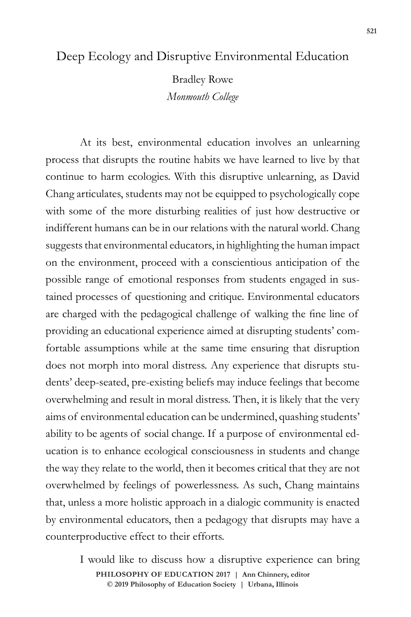## Deep Ecology and Disruptive Environmental Education

Bradley Rowe *Monmouth College*

At its best, environmental education involves an unlearning process that disrupts the routine habits we have learned to live by that continue to harm ecologies. With this disruptive unlearning, as David Chang articulates, students may not be equipped to psychologically cope with some of the more disturbing realities of just how destructive or indifferent humans can be in our relations with the natural world. Chang suggests that environmental educators, in highlighting the human impact on the environment, proceed with a conscientious anticipation of the possible range of emotional responses from students engaged in sustained processes of questioning and critique. Environmental educators are charged with the pedagogical challenge of walking the fine line of providing an educational experience aimed at disrupting students' comfortable assumptions while at the same time ensuring that disruption does not morph into moral distress. Any experience that disrupts students' deep-seated, pre-existing beliefs may induce feelings that become overwhelming and result in moral distress. Then, it is likely that the very aims of environmental education can be undermined, quashing students' ability to be agents of social change. If a purpose of environmental education is to enhance ecological consciousness in students and change the way they relate to the world, then it becomes critical that they are not overwhelmed by feelings of powerlessness. As such, Chang maintains that, unless a more holistic approach in a dialogic community is enacted by environmental educators, then a pedagogy that disrupts may have a counterproductive effect to their efforts.

> **doi: 10.47925/73.521** I would like to discuss how a disruptive experience can bring **PHILOSOPHY OF EDUCATION 2017 | Ann Chinnery, editor © 2019 Philosophy of Education Society | Urbana, Illinois**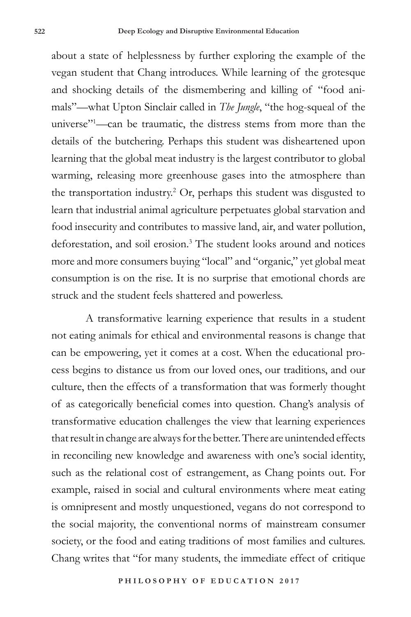about a state of helplessness by further exploring the example of the vegan student that Chang introduces. While learning of the grotesque and shocking details of the dismembering and killing of "food animals"—what Upton Sinclair called in *The Jungle*, "the hog-squeal of the universe"1 —can be traumatic, the distress stems from more than the details of the butchering. Perhaps this student was disheartened upon learning that the global meat industry is the largest contributor to global warming, releasing more greenhouse gases into the atmosphere than the transportation industry.<sup>2</sup> Or, perhaps this student was disgusted to learn that industrial animal agriculture perpetuates global starvation and food insecurity and contributes to massive land, air, and water pollution, deforestation, and soil erosion.3 The student looks around and notices more and more consumers buying "local" and "organic," yet global meat consumption is on the rise. It is no surprise that emotional chords are struck and the student feels shattered and powerless.

A transformative learning experience that results in a student not eating animals for ethical and environmental reasons is change that can be empowering, yet it comes at a cost. When the educational process begins to distance us from our loved ones, our traditions, and our culture, then the effects of a transformation that was formerly thought of as categorically beneficial comes into question. Chang's analysis of transformative education challenges the view that learning experiences that result in change are always for the better. There are unintended effects in reconciling new knowledge and awareness with one's social identity, such as the relational cost of estrangement, as Chang points out. For example, raised in social and cultural environments where meat eating is omnipresent and mostly unquestioned, vegans do not correspond to the social majority, the conventional norms of mainstream consumer society, or the food and eating traditions of most families and cultures. Chang writes that "for many students, the immediate effect of critique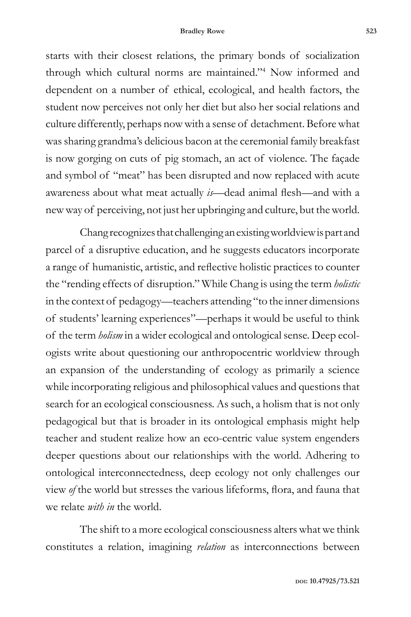starts with their closest relations, the primary bonds of socialization through which cultural norms are maintained."4 Now informed and dependent on a number of ethical, ecological, and health factors, the student now perceives not only her diet but also her social relations and culture differently, perhaps now with a sense of detachment. Before what was sharing grandma's delicious bacon at the ceremonial family breakfast is now gorging on cuts of pig stomach, an act of violence. The façade and symbol of "meat" has been disrupted and now replaced with acute awareness about what meat actually *is*—dead animal flesh—and with a new way of perceiving, not just her upbringing and culture, but the world.

Chang recognizes that challenging an existing worldview is part and parcel of a disruptive education, and he suggests educators incorporate a range of humanistic, artistic, and reflective holistic practices to counter the "rending effects of disruption." While Chang is using the term *holistic* in the context of pedagogy—teachers attending "to the inner dimensions of students' learning experiences"—perhaps it would be useful to think of the term *holism* in a wider ecological and ontological sense. Deep ecologists write about questioning our anthropocentric worldview through an expansion of the understanding of ecology as primarily a science while incorporating religious and philosophical values and questions that search for an ecological consciousness. As such, a holism that is not only pedagogical but that is broader in its ontological emphasis might help teacher and student realize how an eco-centric value system engenders deeper questions about our relationships with the world. Adhering to ontological interconnectedness, deep ecology not only challenges our view *of* the world but stresses the various lifeforms, flora, and fauna that we relate *with in* the world.

The shift to a more ecological consciousness alters what we think constitutes a relation, imagining *relation* as interconnections between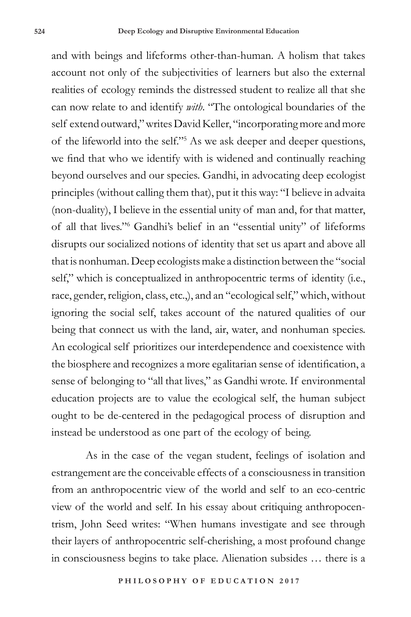and with beings and lifeforms other-than-human. A holism that takes account not only of the subjectivities of learners but also the external realities of ecology reminds the distressed student to realize all that she can now relate to and identify *with*. "The ontological boundaries of the self extend outward," writes David Keller, "incorporating more and more of the lifeworld into the self."5 As we ask deeper and deeper questions, we find that who we identify with is widened and continually reaching beyond ourselves and our species. Gandhi, in advocating deep ecologist principles (without calling them that), put it this way: "I believe in advaita (non-duality), I believe in the essential unity of man and, for that matter, of all that lives."6 Gandhi's belief in an "essential unity" of lifeforms disrupts our socialized notions of identity that set us apart and above all that is nonhuman. Deep ecologists make a distinction between the "social self," which is conceptualized in anthropocentric terms of identity (i.e., race, gender, religion, class, etc.,), and an "ecological self," which, without ignoring the social self, takes account of the natured qualities of our being that connect us with the land, air, water, and nonhuman species. An ecological self prioritizes our interdependence and coexistence with the biosphere and recognizes a more egalitarian sense of identification, a sense of belonging to "all that lives," as Gandhi wrote. If environmental education projects are to value the ecological self, the human subject ought to be de-centered in the pedagogical process of disruption and instead be understood as one part of the ecology of being.

As in the case of the vegan student, feelings of isolation and estrangement are the conceivable effects of a consciousness in transition from an anthropocentric view of the world and self to an eco-centric view of the world and self. In his essay about critiquing anthropocentrism, John Seed writes: "When humans investigate and see through their layers of anthropocentric self-cherishing, a most profound change in consciousness begins to take place. Alienation subsides … there is a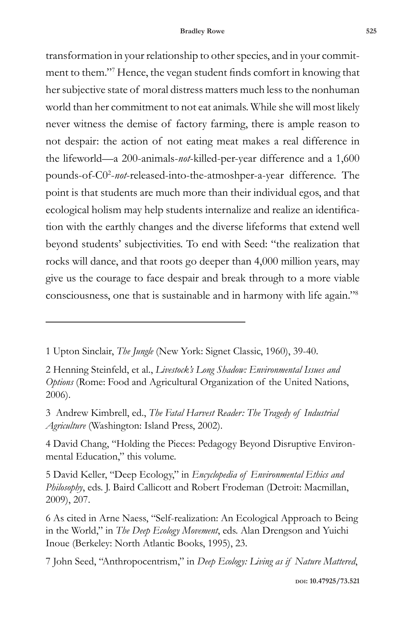transformation in your relationship to other species, and in your commitment to them."7 Hence, the vegan student finds comfort in knowing that her subjective state of moral distress matters much less to the nonhuman world than her commitment to not eat animals. While she will most likely never witness the demise of factory farming, there is ample reason to not despair: the action of not eating meat makes a real difference in the lifeworld—a 200-animals-*not*-killed-per-year difference and a 1,600 pounds-of-C0<sup>2</sup>-not-released-into-the-atmoshper-a-year difference. The point is that students are much more than their individual egos, and that ecological holism may help students internalize and realize an identification with the earthly changes and the diverse lifeforms that extend well beyond students' subjectivities. To end with Seed: "the realization that rocks will dance, and that roots go deeper than 4,000 million years, may give us the courage to face despair and break through to a more viable consciousness, one that is sustainable and in harmony with life again."8

1 Upton Sinclair, *The Jungle* (New York: Signet Classic, 1960), 39-40.

2 Henning Steinfeld, et al., *Livestock's Long Shadow: Environmental Issues and Options* (Rome: Food and Agricultural Organization of the United Nations, 2006).

3 Andrew Kimbrell, ed., *The Fatal Harvest Reader: The Tragedy of Industrial Agriculture* (Washington: Island Press, 2002).

4 David Chang, "Holding the Pieces: Pedagogy Beyond Disruptive Environmental Education," this volume.

5 David Keller, "Deep Ecology," in *Encyclopedia of Environmental Ethics and Philosophy*, eds. J. Baird Callicott and Robert Frodeman (Detroit: Macmillan, 2009), 207.

6 As cited in Arne Naess, "Self-realization: An Ecological Approach to Being in the World," in *The Deep Ecology Movement*, eds. Alan Drengson and Yuichi Inoue (Berkeley: North Atlantic Books, 1995), 23.

7 John Seed, "Anthropocentrism," in *Deep Ecology: Living as if Nature Mattered*,